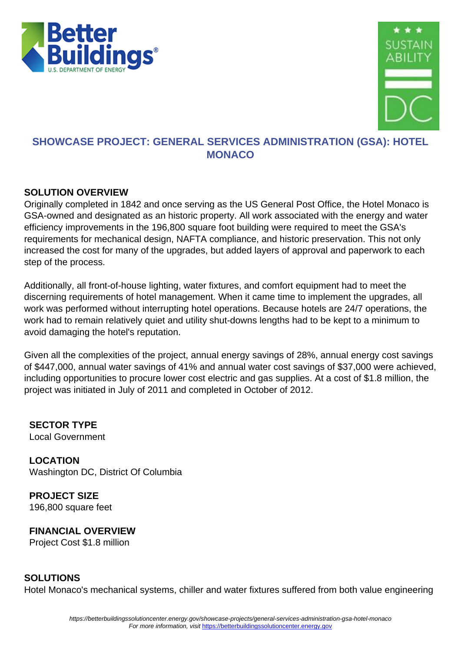



### **SHOWCASE PROJECT: GENERAL SERVICES ADMINISTRATION (GSA): HOTEL MONACO**

#### **SOLUTION OVERVIEW**

Originally completed in 1842 and once serving as the US General Post Office, the Hotel Monaco is GSA-owned and designated as an historic property. All work associated with the energy and water efficiency improvements in the 196,800 square foot building were required to meet the GSA's requirements for mechanical design, NAFTA compliance, and historic preservation. This not only increased the cost for many of the upgrades, but added layers of approval and paperwork to each step of the process.

Additionally, all front-of-house lighting, water fixtures, and comfort equipment had to meet the discerning requirements of hotel management. When it came time to implement the upgrades, all work was performed without interrupting hotel operations. Because hotels are 24/7 operations, the work had to remain relatively quiet and utility shut-downs lengths had to be kept to a minimum to avoid damaging the hotel's reputation.

Given all the complexities of the project, annual energy savings of 28%, annual energy cost savings of \$447,000, annual water savings of 41% and annual water cost savings of \$37,000 were achieved, including opportunities to procure lower cost electric and gas supplies. At a cost of \$1.8 million, the project was initiated in July of 2011 and completed in October of 2012.

**SECTOR TYPE** Local Government

**LOCATION** Washington DC, District Of Columbia

**PROJECT SIZE** 196,800 square feet

**FINANCIAL OVERVIEW** Project Cost \$1.8 million

#### **SOLUTIONS**

Hotel Monaco's mechanical systems, chiller and water fixtures suffered from both value engineering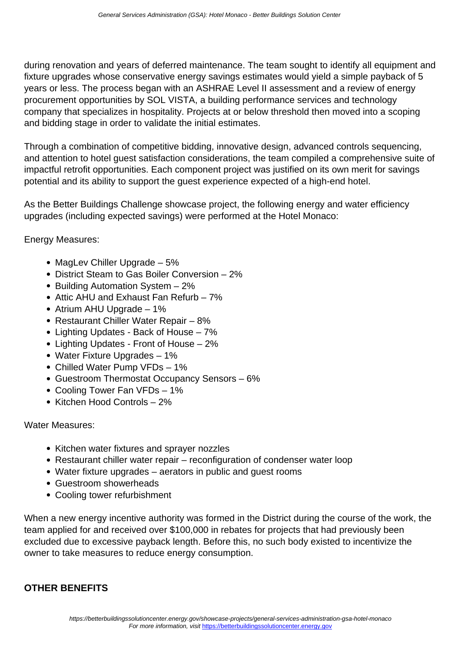during renovation and years of deferred maintenance. The team sought to identify all equipment and fixture upgrades whose conservative energy savings estimates would yield a simple payback of 5 years or less. The process began with an ASHRAE Level II assessment and a review of energy procurement opportunities by SOL VISTA, a building performance services and technology company that specializes in hospitality. Projects at or below threshold then moved into a scoping and bidding stage in order to validate the initial estimates.

Through a combination of competitive bidding, innovative design, advanced controls sequencing, and attention to hotel guest satisfaction considerations, the team compiled a comprehensive suite of impactful retrofit opportunities. Each component project was justified on its own merit for savings potential and its ability to support the guest experience expected of a high-end hotel.

As the Better Buildings Challenge showcase project, the following energy and water efficiency upgrades (including expected savings) were performed at the Hotel Monaco:

Energy Measures:

- MagLev Chiller Upgrade 5%
- District Steam to Gas Boiler Conversion 2%
- Building Automation System 2%
- Attic AHU and Exhaust Fan Refurb 7%
- Atrium AHU Upgrade 1%
- Restaurant Chiller Water Repair 8%
- Lighting Updates Back of House 7%
- Lighting Updates Front of House 2%
- Water Fixture Upgrades 1%
- Chilled Water Pump VFDs 1%
- Guestroom Thermostat Occupancy Sensors 6%
- Cooling Tower Fan VFDs 1%
- Kitchen Hood Controls 2%

#### Water Measures:

- Kitchen water fixtures and sprayer nozzles
- Restaurant chiller water repair reconfiguration of condenser water loop
- Water fixture upgrades aerators in public and guest rooms
- Guestroom showerheads
- Cooling tower refurbishment

When a new energy incentive authority was formed in the District during the course of the work, the team applied for and received over \$100,000 in rebates for projects that had previously been excluded due to excessive payback length. Before this, no such body existed to incentivize the owner to take measures to reduce energy consumption.

#### **OTHER BENEFITS**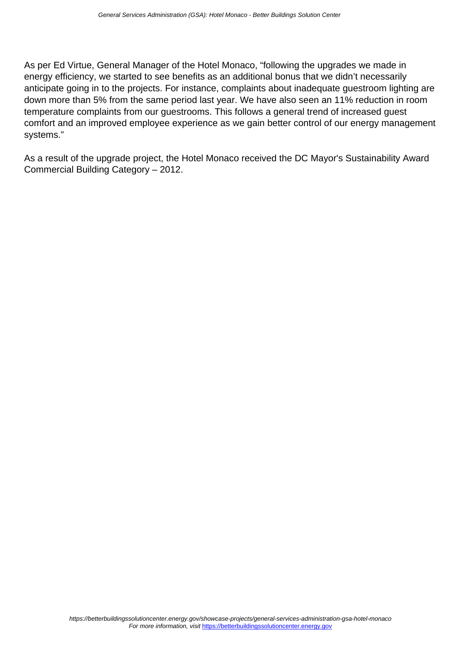As per Ed Virtue, General Manager of the Hotel Monaco, "following the upgrades we made in energy efficiency, we started to see benefits as an additional bonus that we didn't necessarily anticipate going in to the projects. For instance, complaints about inadequate guestroom lighting are down more than 5% from the same period last year. We have also seen an 11% reduction in room temperature complaints from our guestrooms. This follows a general trend of increased guest comfort and an improved employee experience as we gain better control of our energy management systems."

As a result of the upgrade project, the Hotel Monaco received the DC Mayor's Sustainability Award Commercial Building Category – 2012.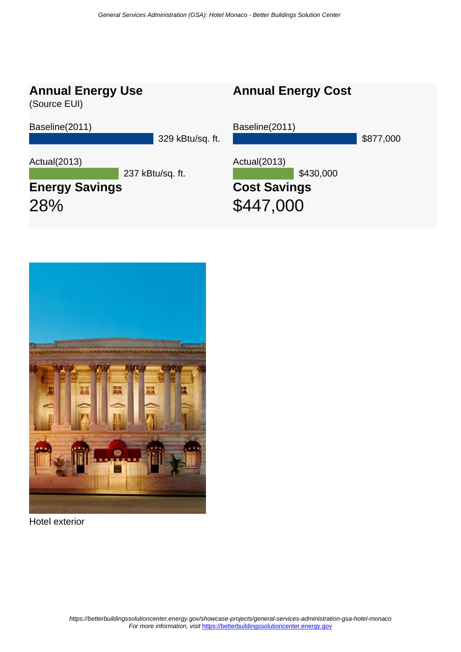## **Annual Energy Use**

(Source EUI)

Baseline(2011)

329 kBtu/sq. ft.

Actual(2013)

237 kBtu/sq. ft.

# **Energy Savings** 28%

Baseline(2011) \$877,000 Actual(2013) \$430,000 **Cost Savings**

**Annual Energy Cost**

\$447,000



Hotel exterior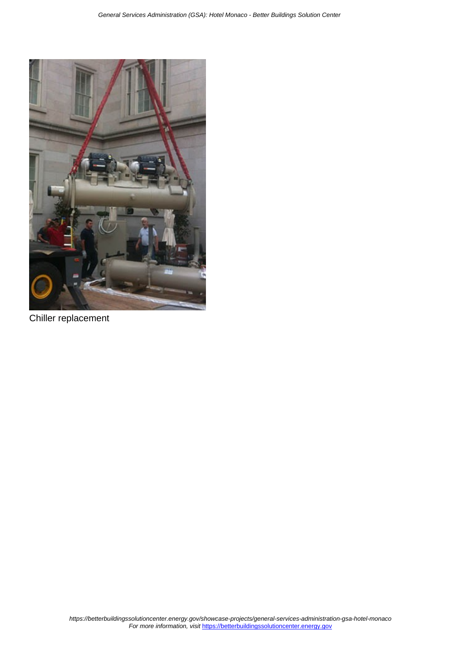

Chiller replacement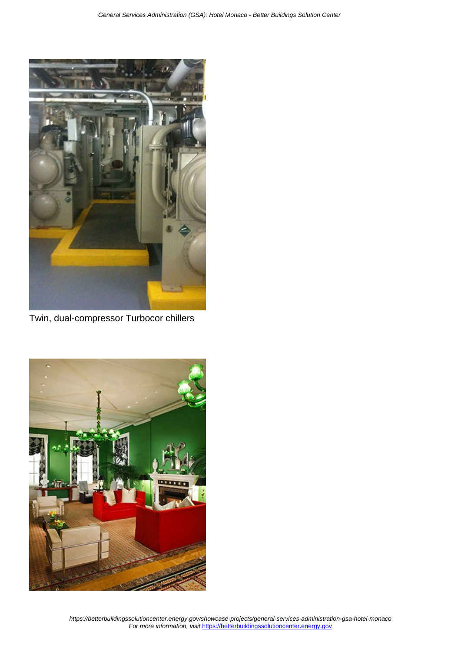

Twin, dual-compressor Turbocor chillers